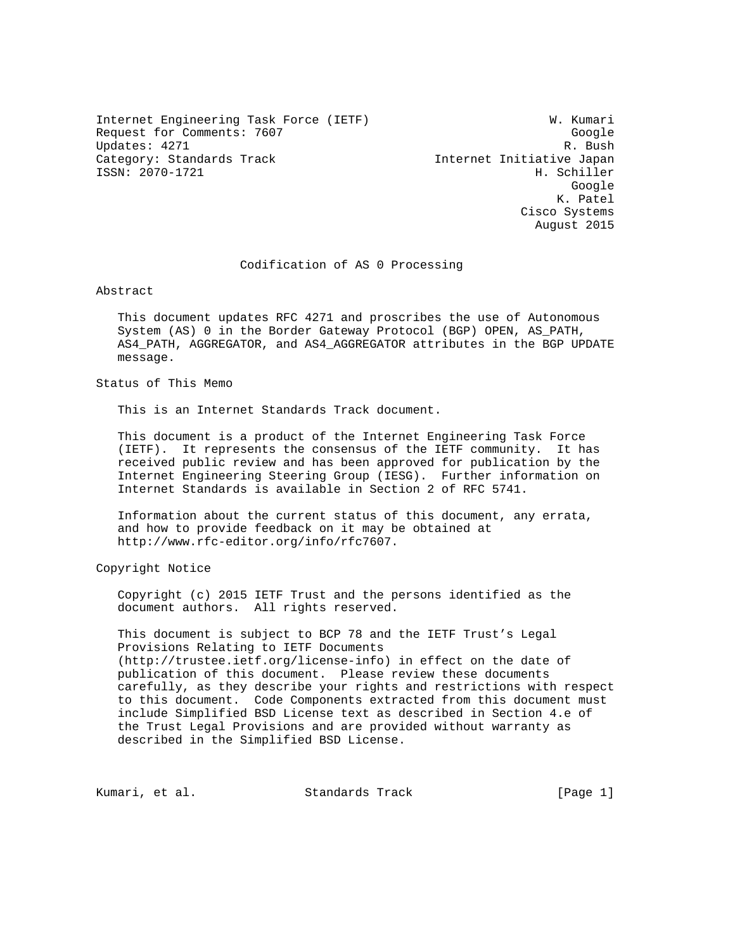Internet Engineering Task Force (IETF) W. Kumari Request for Comments: 7607 Google Updates: 4271 R. Bush Category: Standards Track Internet Initiative Japan ISSN: 2070-1721 H. Schiller

google is a straightforward of the control of the control of the control of the control of the control of the c K. Patel Cisco Systems August 2015

Codification of AS 0 Processing

Abstract

 This document updates RFC 4271 and proscribes the use of Autonomous System (AS) 0 in the Border Gateway Protocol (BGP) OPEN, AS\_PATH, AS4\_PATH, AGGREGATOR, and AS4\_AGGREGATOR attributes in the BGP UPDATE message.

Status of This Memo

This is an Internet Standards Track document.

 This document is a product of the Internet Engineering Task Force (IETF). It represents the consensus of the IETF community. It has received public review and has been approved for publication by the Internet Engineering Steering Group (IESG). Further information on Internet Standards is available in Section 2 of RFC 5741.

 Information about the current status of this document, any errata, and how to provide feedback on it may be obtained at http://www.rfc-editor.org/info/rfc7607.

Copyright Notice

 Copyright (c) 2015 IETF Trust and the persons identified as the document authors. All rights reserved.

 This document is subject to BCP 78 and the IETF Trust's Legal Provisions Relating to IETF Documents (http://trustee.ietf.org/license-info) in effect on the date of publication of this document. Please review these documents carefully, as they describe your rights and restrictions with respect to this document. Code Components extracted from this document must include Simplified BSD License text as described in Section 4.e of the Trust Legal Provisions and are provided without warranty as described in the Simplified BSD License.

Kumari, et al. Standards Track [Page 1]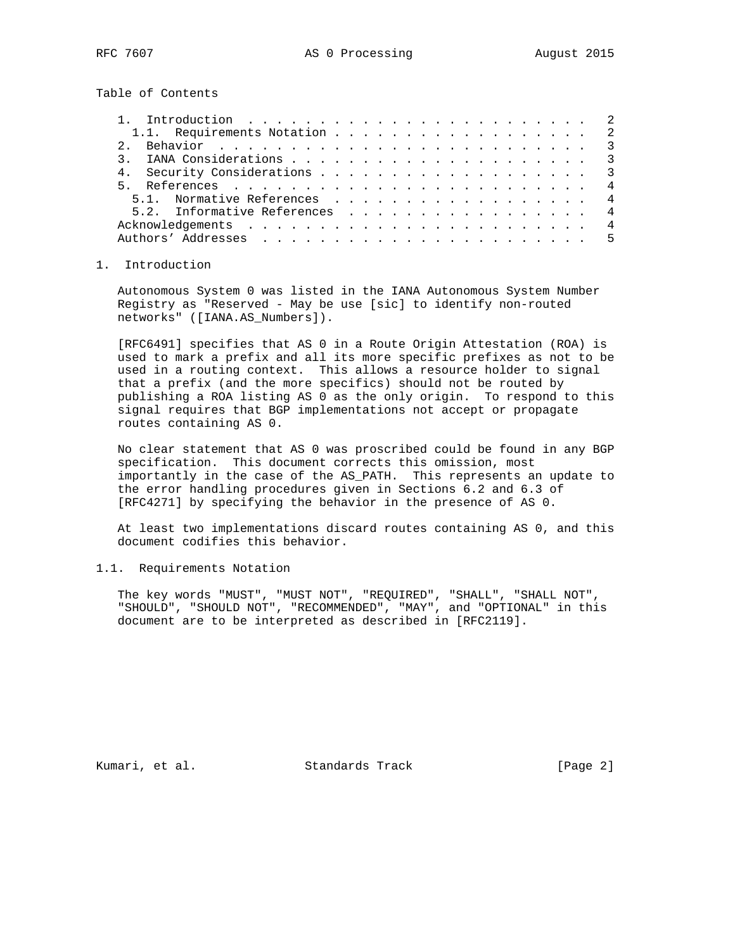Table of Contents

| 1.1. Requirements Notation 2  |  |  |  |  |  |  |  |  |  |  |  |  |
|-------------------------------|--|--|--|--|--|--|--|--|--|--|--|--|
|                               |  |  |  |  |  |  |  |  |  |  |  |  |
|                               |  |  |  |  |  |  |  |  |  |  |  |  |
|                               |  |  |  |  |  |  |  |  |  |  |  |  |
|                               |  |  |  |  |  |  |  |  |  |  |  |  |
| 5.1. Normative References 4   |  |  |  |  |  |  |  |  |  |  |  |  |
| 5.2. Informative References 4 |  |  |  |  |  |  |  |  |  |  |  |  |
|                               |  |  |  |  |  |  |  |  |  |  |  |  |
|                               |  |  |  |  |  |  |  |  |  |  |  |  |

## 1. Introduction

 Autonomous System 0 was listed in the IANA Autonomous System Number Registry as "Reserved - May be use [sic] to identify non-routed networks" ([IANA.AS\_Numbers]).

 [RFC6491] specifies that AS 0 in a Route Origin Attestation (ROA) is used to mark a prefix and all its more specific prefixes as not to be used in a routing context. This allows a resource holder to signal that a prefix (and the more specifics) should not be routed by publishing a ROA listing AS 0 as the only origin. To respond to this signal requires that BGP implementations not accept or propagate routes containing AS 0.

 No clear statement that AS 0 was proscribed could be found in any BGP specification. This document corrects this omission, most importantly in the case of the AS\_PATH. This represents an update to the error handling procedures given in Sections 6.2 and 6.3 of [RFC4271] by specifying the behavior in the presence of AS 0.

 At least two implementations discard routes containing AS 0, and this document codifies this behavior.

## 1.1. Requirements Notation

 The key words "MUST", "MUST NOT", "REQUIRED", "SHALL", "SHALL NOT", "SHOULD", "SHOULD NOT", "RECOMMENDED", "MAY", and "OPTIONAL" in this document are to be interpreted as described in [RFC2119].

Kumari, et al. Standards Track [Page 2]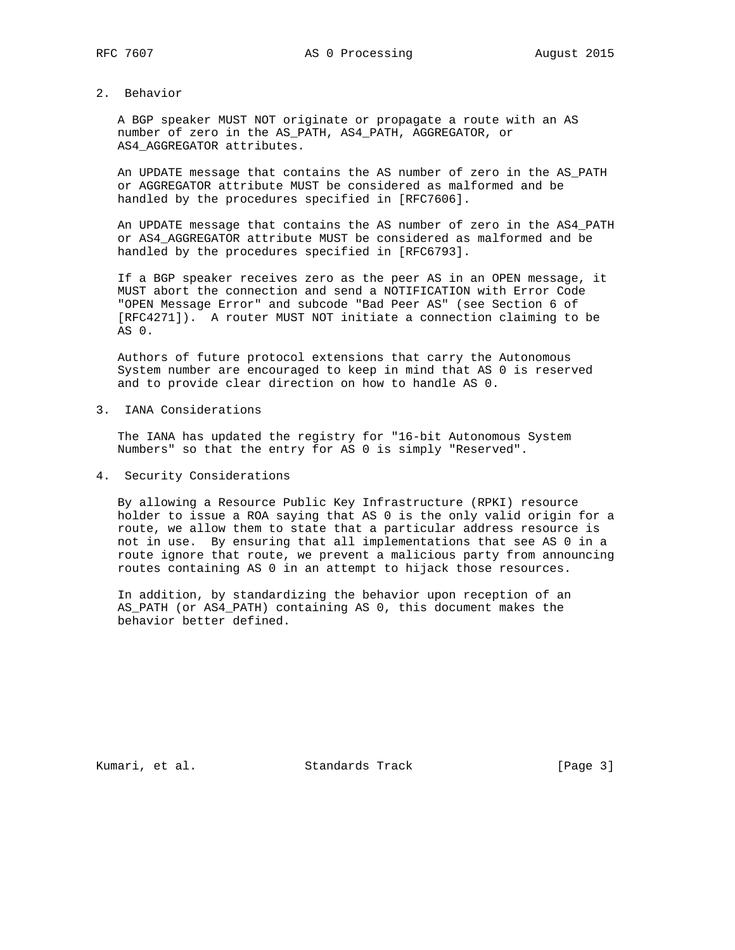## 2. Behavior

 A BGP speaker MUST NOT originate or propagate a route with an AS number of zero in the AS\_PATH, AS4\_PATH, AGGREGATOR, or AS4\_AGGREGATOR attributes.

 An UPDATE message that contains the AS number of zero in the AS\_PATH or AGGREGATOR attribute MUST be considered as malformed and be handled by the procedures specified in [RFC7606].

 An UPDATE message that contains the AS number of zero in the AS4\_PATH or AS4\_AGGREGATOR attribute MUST be considered as malformed and be handled by the procedures specified in [RFC6793].

 If a BGP speaker receives zero as the peer AS in an OPEN message, it MUST abort the connection and send a NOTIFICATION with Error Code "OPEN Message Error" and subcode "Bad Peer AS" (see Section 6 of [RFC4271]). A router MUST NOT initiate a connection claiming to be AS 0.

 Authors of future protocol extensions that carry the Autonomous System number are encouraged to keep in mind that AS 0 is reserved and to provide clear direction on how to handle AS 0.

3. IANA Considerations

 The IANA has updated the registry for "16-bit Autonomous System Numbers" so that the entry for AS 0 is simply "Reserved".

4. Security Considerations

 By allowing a Resource Public Key Infrastructure (RPKI) resource holder to issue a ROA saying that AS 0 is the only valid origin for a route, we allow them to state that a particular address resource is not in use. By ensuring that all implementations that see AS 0 in a route ignore that route, we prevent a malicious party from announcing routes containing AS 0 in an attempt to hijack those resources.

 In addition, by standardizing the behavior upon reception of an AS\_PATH (or AS4\_PATH) containing AS 0, this document makes the behavior better defined.

Kumari, et al. Standards Track [Page 3]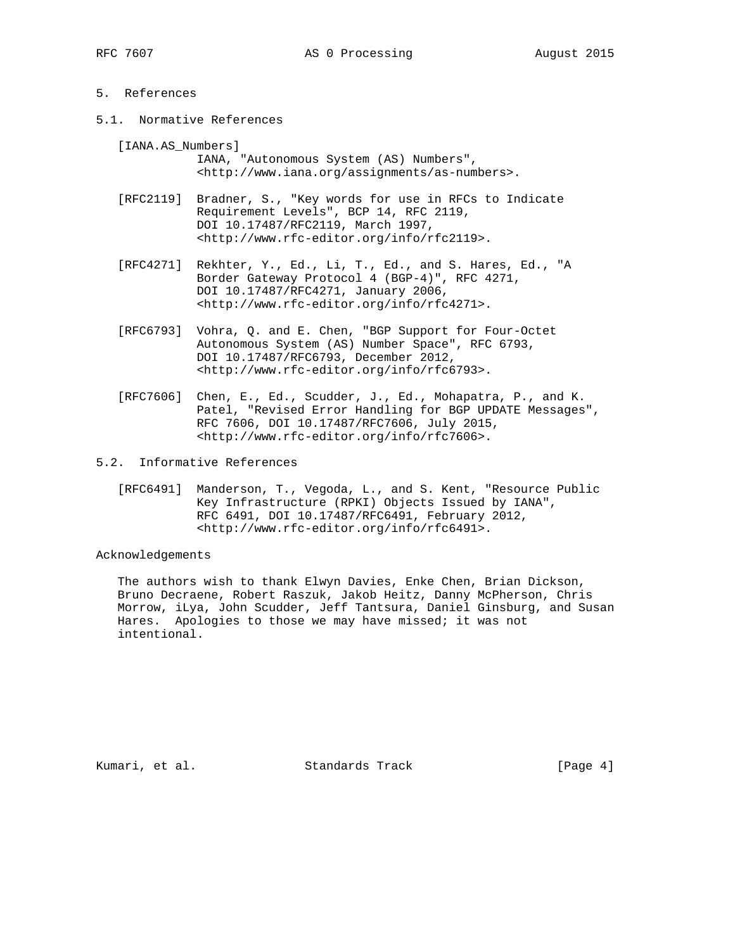## 5. References

5.1. Normative References

 [IANA.AS\_Numbers] IANA, "Autonomous System (AS) Numbers", <http://www.iana.org/assignments/as-numbers>.

- [RFC2119] Bradner, S., "Key words for use in RFCs to Indicate Requirement Levels", BCP 14, RFC 2119, DOI 10.17487/RFC2119, March 1997, <http://www.rfc-editor.org/info/rfc2119>.
- [RFC4271] Rekhter, Y., Ed., Li, T., Ed., and S. Hares, Ed., "A Border Gateway Protocol 4 (BGP-4)", RFC 4271, DOI 10.17487/RFC4271, January 2006, <http://www.rfc-editor.org/info/rfc4271>.
- [RFC6793] Vohra, Q. and E. Chen, "BGP Support for Four-Octet Autonomous System (AS) Number Space", RFC 6793, DOI 10.17487/RFC6793, December 2012, <http://www.rfc-editor.org/info/rfc6793>.
- [RFC7606] Chen, E., Ed., Scudder, J., Ed., Mohapatra, P., and K. Patel, "Revised Error Handling for BGP UPDATE Messages", RFC 7606, DOI 10.17487/RFC7606, July 2015, <http://www.rfc-editor.org/info/rfc7606>.
- 5.2. Informative References
	- [RFC6491] Manderson, T., Vegoda, L., and S. Kent, "Resource Public Key Infrastructure (RPKI) Objects Issued by IANA", RFC 6491, DOI 10.17487/RFC6491, February 2012, <http://www.rfc-editor.org/info/rfc6491>.

Acknowledgements

 The authors wish to thank Elwyn Davies, Enke Chen, Brian Dickson, Bruno Decraene, Robert Raszuk, Jakob Heitz, Danny McPherson, Chris Morrow, iLya, John Scudder, Jeff Tantsura, Daniel Ginsburg, and Susan Hares. Apologies to those we may have missed; it was not intentional.

Kumari, et al. Standards Track [Page 4]